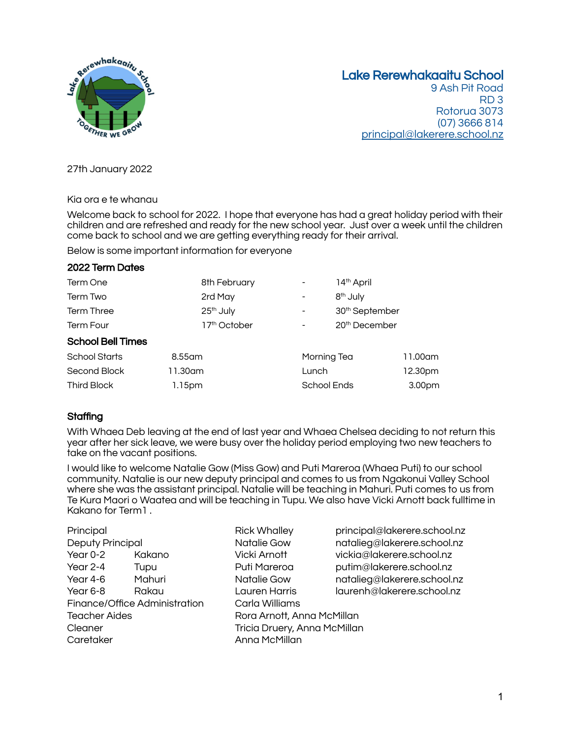

# Lake Rerewhakaaitu School

9 Ash Pit Road RD 3 Rotorua 3073 (07) 3666 814 [principal@lakerere.school.nz](mailto:principal@lakerere.school.nz)

27th January 2022

Kia ora e te whanau

2022 Term Dates

Welcome back to school for 2022. I hope that everyone has had a great holiday period with their children and are refreshed and ready for the new school year. Just over a week until the children come back to school and we are getting everything ready for their arrival.

Below is some important information for everyone

| <b>2022 Term Dates</b>   |                          |                    |                            |                    |
|--------------------------|--------------------------|--------------------|----------------------------|--------------------|
| Term One                 | 8th February             |                    | 14 <sup>th</sup> April     |                    |
| Term Two                 | 2rd May                  |                    | 8 <sup>th</sup> July       |                    |
| <b>Term Three</b>        | 25 <sup>th</sup> July    |                    | 30 <sup>th</sup> September |                    |
| <b>Term Four</b>         | 17 <sup>th</sup> October |                    | 20 <sup>th</sup> December  |                    |
| <b>School Bell Times</b> |                          |                    |                            |                    |
| <b>School Starts</b>     | 8.55 am                  | Morning Tea        |                            | 11.00am            |
| Second Block             | 11.30am                  | Lunch              |                            | 12.30pm            |
| Third Block              | 1.15pm                   | <b>School Ends</b> |                            | 3.00 <sub>pm</sub> |

## **Staffing**

With Whaea Deb leaving at the end of last year and Whaea Chelsea deciding to not return this year after her sick leave, we were busy over the holiday period employing two new teachers to take on the vacant positions.

I would like to welcome Natalie Gow (Miss Gow) and Puti Mareroa (Whaea Puti) to our school community. Natalie is our new deputy principal and comes to us from Ngakonui Valley School where she was the assistant principal. Natalie will be teaching in Mahuri. Puti comes to us from Te Kura Maori o Waatea and will be teaching in Tupu. We also have Vicki Arnott back fulltime in Kakano for Term1 .

| Principal                     |        |  |  |  |
|-------------------------------|--------|--|--|--|
| <b>Deputy Principal</b>       |        |  |  |  |
| Year $0-2$                    | Kakano |  |  |  |
| Year $2-4$                    | Tupu   |  |  |  |
| Year 4-6                      | Mahuri |  |  |  |
| Year 6-8                      | Rakau  |  |  |  |
| Finance/Office Administration |        |  |  |  |
| <b>Teacher Aides</b>          |        |  |  |  |
| Cleaner                       |        |  |  |  |
| Caretaker                     |        |  |  |  |

- Natalie Gow natalieg@lakerere.school.nz Vicki Arnott vickia@lakerere.school.nz Puti Mareroa **putim@lakerere.school.nz** Natalie Gow natalieg@lakerere.school.nz Year 6-8 Rakau Lauren Harris laurenh@lakerere.school.nz Carla Williams Rora Arnott, Anna McMillan Tricia Druery, Anna McMillan Anna McMillan
- Principal Rick Whalley principal@lakerere.school.nz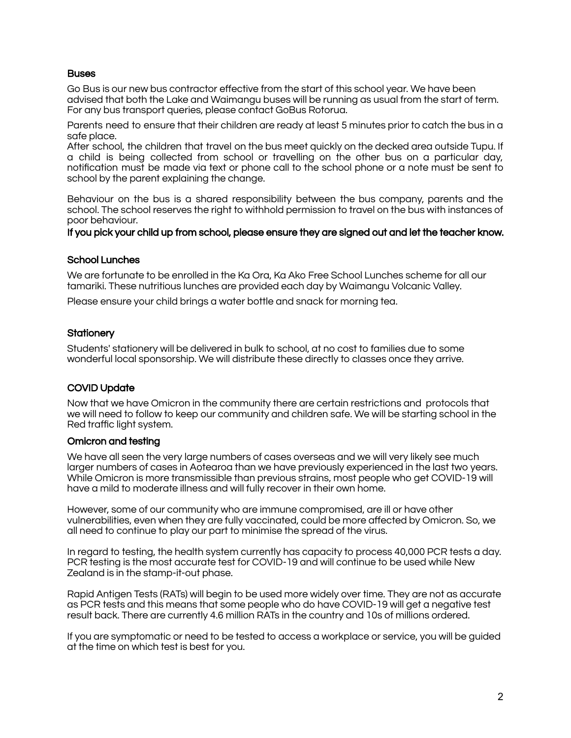#### **Buses**

Go Bus is our new bus contractor effective from the start of this school year. We have been advised that both the Lake and Waimangu buses will be running as usual from the start of term. For any bus transport queries, please contact GoBus Rotorua.

Parents need to ensure that their children are ready at least 5 minutes prior to catch the bus in a safe place.

After school, the children that travel on the bus meet quickly on the decked area outside Tupu. If a child is being collected from school or travelling on the other bus on a particular day, notification must be made via text or phone call to the school phone or a note must be sent to school by the parent explaining the change.

Behaviour on the bus is a shared responsibility between the bus company, parents and the school. The school reserves the right to withhold permission to travel on the bus with instances of poor behaviour.

If you pick your child up from school, please ensure they are signed out and let the teacher know.

#### School Lunches

We are fortunate to be enrolled in the Ka Ora, Ka Ako Free School Lunches scheme for all our tamariki. These nutritious lunches are provided each day by Waimangu Volcanic Valley.

Please ensure your child brings a water bottle and snack for morning tea.

#### **Stationery**

Students' stationery will be delivered in bulk to school, at no cost to families due to some wonderful local sponsorship. We will distribute these directly to classes once they arrive.

#### COVID Update

Now that we have Omicron in the community there are certain restrictions and protocols that we will need to follow to keep our community and children safe. We will be starting school in the Red traffic light system.

#### Omicron and testing

We have all seen the very large numbers of cases overseas and we will very likely see much larger numbers of cases in Aotearoa than we have previously experienced in the last two years. While Omicron is more transmissible than previous strains, most people who get COVID-19 will have a mild to moderate illness and will fully recover in their own home.

However, some of our community who are immune compromised, are ill or have other vulnerabilities, even when they are fully vaccinated, could be more affected by Omicron. So, we all need to continue to play our part to minimise the spread of the virus.

In regard to testing, the health system currently has capacity to process 40,000 PCR tests a day. PCR testing is the most accurate test for COVID-19 and will continue to be used while New Zealand is in the stamp-it-out phase.

Rapid Antigen Tests (RATs) will begin to be used more widely over time. They are not as accurate as PCR tests and this means that some people who do have COVID-19 will get a negative test result back. There are currently 4.6 million RATs in the country and 10s of millions ordered.

If you are symptomatic or need to be tested to access a workplace or service, you will be guided at the time on which test is best for you.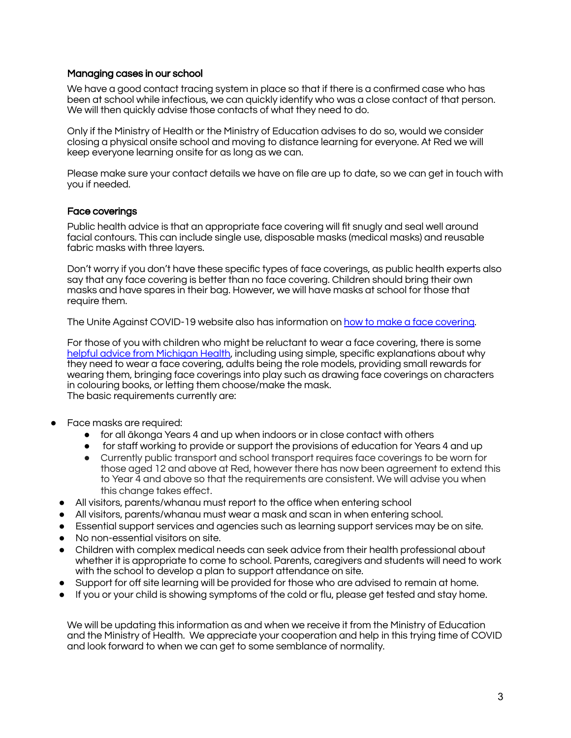#### Managing cases in our school

We have a good contact tracing system in place so that if there is a confirmed case who has been at school while infectious, we can quickly identify who was a close contact of that person. We will then quickly advise those contacts of what they need to do.

Only if the Ministry of Health or the Ministry of Education advises to do so, would we consider closing a physical onsite school and moving to distance learning for everyone. At Red we will keep everyone learning onsite for as long as we can.

Please make sure your contact details we have on file are up to date, so we can get in touch with you if needed.

#### Face coverings

Public health advice is that an appropriate face covering will fit snugly and seal well around facial contours. This can include single use, disposable masks (medical masks) and reusable fabric masks with three layers.

Don't worry if you don't have these specific types of face coverings, as public health experts also say that any face covering is better than no face covering. Children should bring their own masks and have spares in their bag. However, we will have masks at school for those that require them.

The Unite Against COVID-19 website also has information on how to make a face [covering.](https://covid19.govt.nz/prepare-and-stay-safe/keep-up-healthy-habits/wear-a-face-covering/how-to-make-a-face-covering/)

For those of you with children who might be reluctant to wear a face covering, there is som[e](https://healthblog.uofmhealth.org/childrens-health/5-ways-to-get-young-kids-to-wear-face-masks?amp) helpful advice from [Michigan](https://healthblog.uofmhealth.org/childrens-health/5-ways-to-get-young-kids-to-wear-face-masks?amp) Health, including using simple, specific explanations about why they need to wear a face covering, adults being the role models, providing small rewards for wearing them, bringing face coverings into play such as drawing face coverings on characters in colouring books, or letting them choose/make the mask. The basic requirements currently are:

- Face masks are required:
	- for all ākonga Years 4 and up when indoors or in close contact with others
	- for staff working to provide or support the provisions of education for Years 4 and up
	- Currently public transport and school transport requires face coverings to be worn for those aged 12 and above at Red, however there has now been agreement to extend this to Year 4 and above so that the requirements are consistent. We will advise you when this change takes effect.
- All visitors, parents/whanau must report to the office when entering school
- All visitors, parents/whanau must wear a mask and scan in when entering school.
- Essential support services and agencies such as learning support services may be on site.
- No non-essential visitors on site.
- Children with complex medical needs can seek advice from their health professional about whether it is appropriate to come to school. Parents, caregivers and students will need to work with the school to develop a plan to support attendance on site.
- Support for off site learning will be provided for those who are advised to remain at home.
- If you or your child is showing symptoms of the cold or flu, please get tested and stay home.

We will be updating this information as and when we receive it from the Ministry of Education and the Ministry of Health. We appreciate your cooperation and help in this trying time of COVID and look forward to when we can get to some semblance of normality.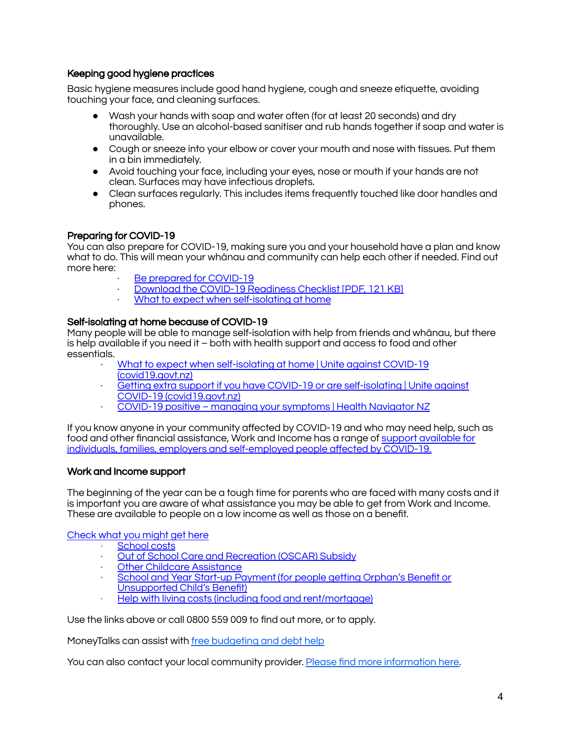## Keeping good hygiene practices

Basic hygiene measures include good hand hygiene, cough and sneeze etiquette, avoiding touching your face, and cleaning surfaces.

- Wash your hands with soap and water often (for at least 20 seconds) and dry thoroughly. Use an alcohol-based sanitiser and rub hands together if soap and water is unavailable.
- Cough or sneeze into your elbow or cover your mouth and nose with tissues. Put them in a bin immediately.
- Avoid touching your face, including your eyes, nose or mouth if your hands are not clean. Surfaces may have infectious droplets.
- Clean surfaces regularly. This includes items frequently touched like door handles and phones.

### Preparing for COVID-19

You can also prepare for COVID-19, making sure you and your household have a plan and know what to do. This will mean your whānau and community can help each other if needed. Find out more here:

- Be prepared for [COVID-19](https://covid19.govt.nz/prepare-and-stay-safe/be-prepared-for-covid-19/)
- Download the COVID-19 [Readiness](https://covid19.govt.nz/assets/resources/posters/COVID-19-Readiness-Checklist.pdf) Checklist [PDF, 121 KB]
- What to expect when [self-isolating](https://covid19.govt.nz/isolation-and-care/what-to-expect-when-self-isolating-at-home/) at home

### Self-isolating at home because of COVID-19

Many people will be able to manage self-isolation with help from friends and whānau, but there is help available if you need it – both with health support and access to food and other essentials.

- · What to expect when [self-isolating](https://covid19.govt.nz/isolation-and-care/what-to-expect-when-self-isolating-at-home/) at home | Unite against COVID-19 [\(covid19.govt.nz\)](https://covid19.govt.nz/isolation-and-care/what-to-expect-when-self-isolating-at-home/)
- · Getting extra support if you have COVID-19 or are [self-isolating](https://covid19.govt.nz/isolation-and-care/getting-extra-support-if-you-have-covid-19-or-are-self-isolating/) | Unite against COVID-19 [\(covid19.govt.nz\)](https://covid19.govt.nz/isolation-and-care/getting-extra-support-if-you-have-covid-19-or-are-self-isolating/)
- · COVID-19 positive managing your [symptoms](https://www.healthnavigator.org.nz/health-a-z/c/covid-19-positive-managing-your-symptoms/) | Health Navigator NZ

If you know anyone in your community affected by COVID-19 and who may need help, such as food and other financial assistance, Work and Income has a range of support [available](https://workandincome.govt.nz/covid-19/) for individuals, families, employers and [self-employed](https://workandincome.govt.nz/covid-19/) people affected by COVID-19.

#### Work and Income support

The beginning of the year can be a tough time for parents who are faced with many costs and it is important you are aware of what assistance you may be able to get from Work and Income. These are available to people on a low income as well as those on a benefit.

#### [Check](https://check.msd.govt.nz/) what you might get here

- [School](https://www.workandincome.govt.nz/eligibility/children/school-costs.html) costs
- · Out of School Care and [Recreation](https://www.workandincome.govt.nz/products/a-z-benefits/oscar-subsidy.html) (OSCAR) Subsidy
- · Other Childcare [Assistance](https://www.workandincome.govt.nz/providers/childcare-assistance/index.html)
- School and Year Start-up [Payment](https://www.workandincome.govt.nz/products/a-z-benefits/school-and-year-start-up-payment.html) (for people getting Orphan's Benefit or Unsupported Child's Benefit)
- Help with living costs (including food and [rent/mortgage\)](https://www.workandincome.govt.nz/eligibility/living-expenses/index.html)

Use the links above or call 0800 559 009 to find out more, or to apply.

MoneyTalks can assist with free [budgeting](https://www.moneytalks.co.nz/) and debt help

You can also contact your local community provider. Please find more [information](https://www.msd.govt.nz/about-msd-and-our-work/covid-19/care-in-the-community-welfare-response/index.html) here.